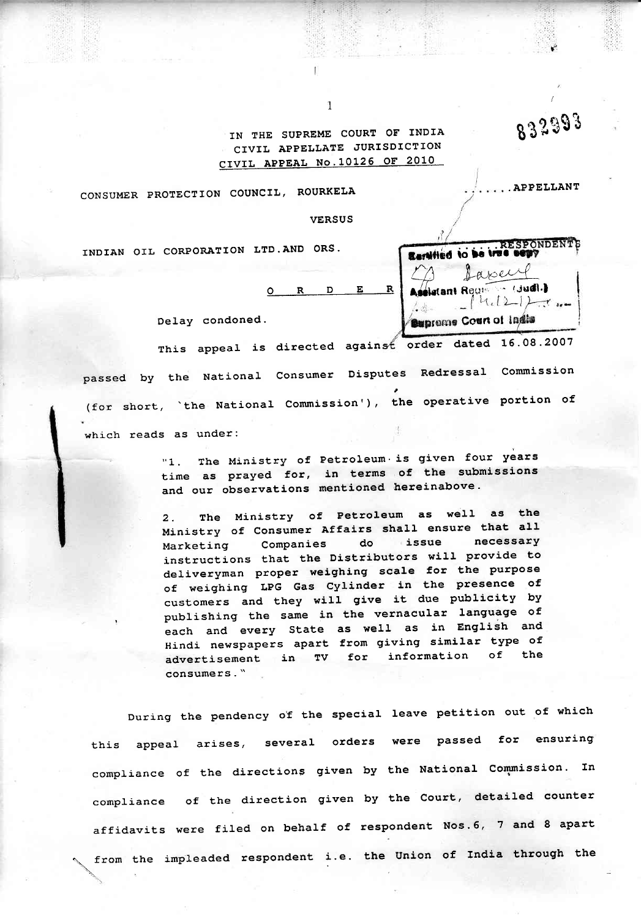IN THE SUPREME COURT OF INDIA CIVIL APPELLATE JURISDICTION CIVIL APPEAL No.10126 OF 2010

832993

... APPELLANT

RESPONDENTS

Laxell

 $14.22 + 7.7$ 

Assistant Recision (Judi.)

**Supreme Court of Inglis** 

CONSUMER PROTECTION COUNCIL, ROURKELA

**VERSUS** 

INDIAN OIL CORPORATION LTD. AND ORS.

 $E$  $\mathbf{R}$  $\mathbf{n}$ 

 $\mathbf{R}$ 

 $\Delta$ 

Delay condoned.

This appeal is directed against order dated 16.08.2007 passed by the National Consumer Disputes Redressal Commission (for short, `the National Commission'), the operative portion of which reads as under:

> "1. The Ministry of Petroleum is given four years time as prayed for, in terms of the submissions and our observations mentioned hereinabove.

> The Ministry of Petroleum as well as the  $2.$ Ministry of Consumer Affairs shall ensure that all necessary Companies do issue Marketing instructions that the Distributors will provide to deliveryman proper weighing scale for the purpose of weighing LPG Gas Cylinder in the presence of customers and they will give it due publicity by publishing the same in the vernacular language of each and every State as well as in English and Hindi newspapers apart from giving similar type of advertisement in TV for information of the consumers."

During the pendency of the special leave petition out of which this appeal arises, several orders were passed for ensuring compliance of the directions given by the National Commission. In compliance of the direction given by the Court, detailed counter affidavits were filed on behalf of respondent Nos.6, 7 and 8 apart from the impleaded respondent i.e. the Union of India through the